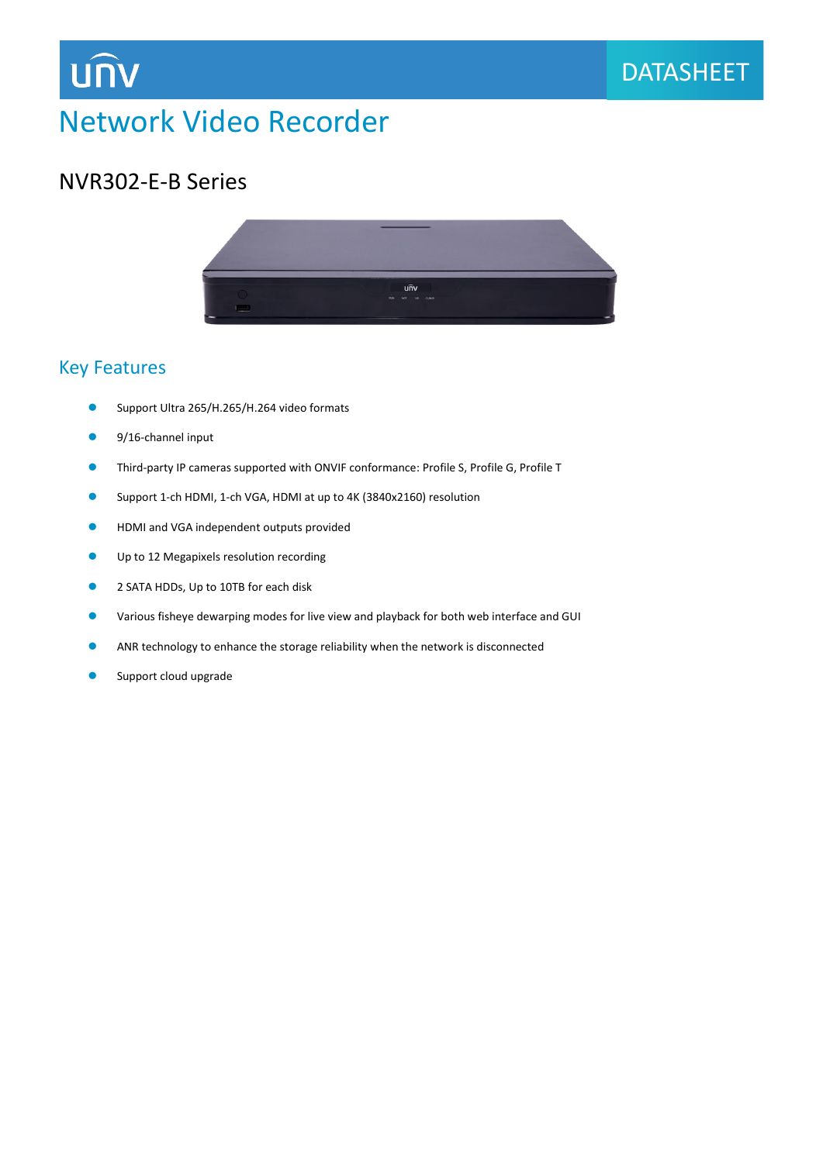

# Network Video Recorder

### NVR302-E-B Series



DATASHEET

### Key Features

- ⚫ Support Ultra 265/H.265/H.264 video formats
- 9/16-channel input
- ⚫ Third-party IP cameras supported with ONVIF conformance: Profile S, Profile G, Profile T
- Support 1-ch HDMI, 1-ch VGA, HDMI at up to 4K (3840x2160) resolution
- HDMI and VGA independent outputs provided
- Up to 12 Megapixels resolution recording
- 2 SATA HDDs, Up to 10TB for each disk
- Various fisheye dewarping modes for live view and playback for both web interface and GUI
- ⚫ ANR technology to enhance the storage reliability when the network is disconnected
- Support cloud upgrade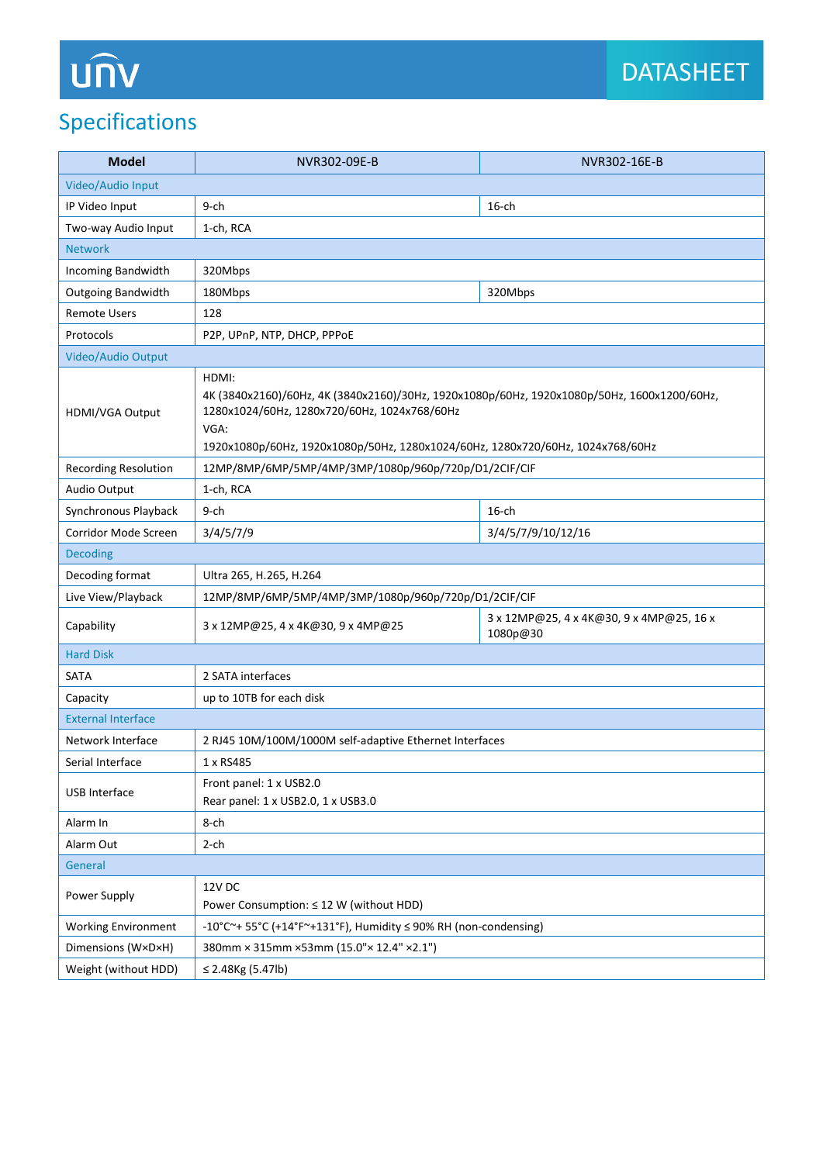# UN

## Specifications

| <b>Model</b>                     | NVR302-09E-B                                                                                                                                                                                                                                   | NVR302-16E-B                                         |
|----------------------------------|------------------------------------------------------------------------------------------------------------------------------------------------------------------------------------------------------------------------------------------------|------------------------------------------------------|
| Video/Audio Input                |                                                                                                                                                                                                                                                |                                                      |
| IP Video Input                   | $9$ -ch                                                                                                                                                                                                                                        | $16$ -ch                                             |
| Two-way Audio Input<br>1-ch, RCA |                                                                                                                                                                                                                                                |                                                      |
| <b>Network</b>                   |                                                                                                                                                                                                                                                |                                                      |
| Incoming Bandwidth               | 320Mbps                                                                                                                                                                                                                                        |                                                      |
| <b>Outgoing Bandwidth</b>        | 180Mbps                                                                                                                                                                                                                                        | 320Mbps                                              |
| <b>Remote Users</b>              | 128                                                                                                                                                                                                                                            |                                                      |
| Protocols                        | P2P, UPnP, NTP, DHCP, PPPoE                                                                                                                                                                                                                    |                                                      |
| Video/Audio Output               |                                                                                                                                                                                                                                                |                                                      |
| HDMI/VGA Output                  | HDMI:<br>4K (3840x2160)/60Hz, 4K (3840x2160)/30Hz, 1920x1080p/60Hz, 1920x1080p/50Hz, 1600x1200/60Hz,<br>1280x1024/60Hz, 1280x720/60Hz, 1024x768/60Hz<br>VGA:<br>1920x1080p/60Hz, 1920x1080p/50Hz, 1280x1024/60Hz, 1280x720/60Hz, 1024x768/60Hz |                                                      |
| <b>Recording Resolution</b>      | 12MP/8MP/6MP/5MP/4MP/3MP/1080p/960p/720p/D1/2CIF/CIF                                                                                                                                                                                           |                                                      |
| Audio Output                     | 1-ch, RCA                                                                                                                                                                                                                                      |                                                      |
| Synchronous Playback             | 9-ch                                                                                                                                                                                                                                           | $16$ -ch                                             |
| Corridor Mode Screen             | 3/4/5/7/9                                                                                                                                                                                                                                      | 3/4/5/7/9/10/12/16                                   |
| <b>Decoding</b>                  |                                                                                                                                                                                                                                                |                                                      |
| Decoding format                  | Ultra 265, H.265, H.264                                                                                                                                                                                                                        |                                                      |
| Live View/Playback               | 12MP/8MP/6MP/5MP/4MP/3MP/1080p/960p/720p/D1/2CIF/CIF                                                                                                                                                                                           |                                                      |
| Capability                       | 3 x 12MP@25, 4 x 4K@30, 9 x 4MP@25                                                                                                                                                                                                             | 3 x 12MP@25, 4 x 4K@30, 9 x 4MP@25, 16 x<br>1080p@30 |
| <b>Hard Disk</b>                 |                                                                                                                                                                                                                                                |                                                      |
| <b>SATA</b>                      | 2 SATA interfaces                                                                                                                                                                                                                              |                                                      |
| Capacity                         | up to 10TB for each disk                                                                                                                                                                                                                       |                                                      |
| <b>External Interface</b>        |                                                                                                                                                                                                                                                |                                                      |
| Network Interface                | 2 RJ45 10M/100M/1000M self-adaptive Ethernet Interfaces                                                                                                                                                                                        |                                                      |
| Serial Interface                 | 1 x RS485                                                                                                                                                                                                                                      |                                                      |
| USB Interface                    | Front panel: 1 x USB2.0<br>Rear panel: 1 x USB2.0, 1 x USB3.0                                                                                                                                                                                  |                                                      |
| Alarm In                         | 8-ch                                                                                                                                                                                                                                           |                                                      |
| Alarm Out                        | $2$ -ch                                                                                                                                                                                                                                        |                                                      |
| General                          |                                                                                                                                                                                                                                                |                                                      |
| Power Supply                     | 12V DC<br>Power Consumption: ≤ 12 W (without HDD)                                                                                                                                                                                              |                                                      |
| <b>Working Environment</b>       | -10°C~+ 55°C (+14°F~+131°F), Humidity ≤ 90% RH (non-condensing)                                                                                                                                                                                |                                                      |
| Dimensions (W×D×H)               | 380mm × 315mm × 53mm (15.0" × 12.4" × 2.1")                                                                                                                                                                                                    |                                                      |
| Weight (without HDD)             | ≤ 2.48Kg $(5.47$ lb)                                                                                                                                                                                                                           |                                                      |